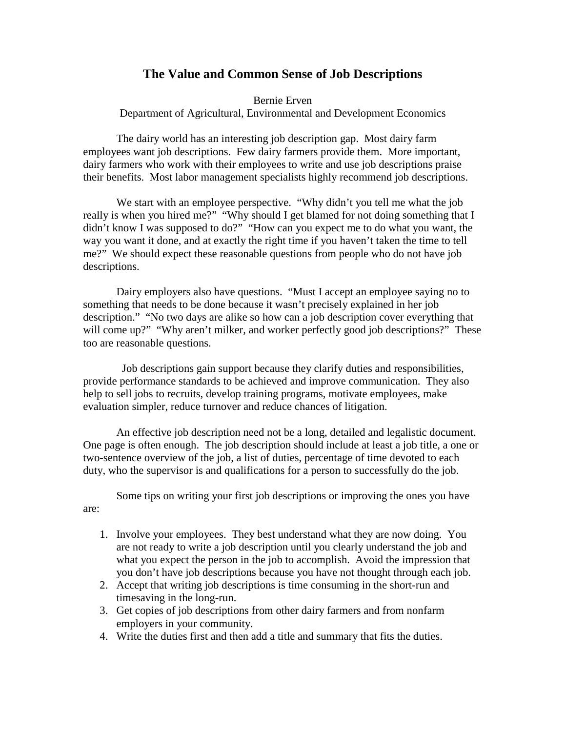## **The Value and Common Sense of Job Descriptions**

## Bernie Erven Department of Agricultural, Environmental and Development Economics

The dairy world has an interesting job description gap. Most dairy farm employees want job descriptions. Few dairy farmers provide them. More important, dairy farmers who work with their employees to write and use job descriptions praise their benefits. Most labor management specialists highly recommend job descriptions.

We start with an employee perspective. "Why didn't you tell me what the job really is when you hired me?" "Why should I get blamed for not doing something that I didn't know I was supposed to do?" "How can you expect me to do what you want, the way you want it done, and at exactly the right time if you haven't taken the time to tell me?" We should expect these reasonable questions from people who do not have job descriptions.

 Dairy employers also have questions. "Must I accept an employee saying no to something that needs to be done because it wasn't precisely explained in her job description." "No two days are alike so how can a job description cover everything that will come up?" "Why aren't milker, and worker perfectly good job descriptions?" These too are reasonable questions.

 Job descriptions gain support because they clarify duties and responsibilities, provide performance standards to be achieved and improve communication. They also help to sell jobs to recruits, develop training programs, motivate employees, make evaluation simpler, reduce turnover and reduce chances of litigation.

 An effective job description need not be a long, detailed and legalistic document. One page is often enough. The job description should include at least a job title, a one or two-sentence overview of the job, a list of duties, percentage of time devoted to each duty, who the supervisor is and qualifications for a person to successfully do the job.

 Some tips on writing your first job descriptions or improving the ones you have are:

- 1. Involve your employees. They best understand what they are now doing. You are not ready to write a job description until you clearly understand the job and what you expect the person in the job to accomplish. Avoid the impression that you don't have job descriptions because you have not thought through each job.
- 2. Accept that writing job descriptions is time consuming in the short-run and timesaving in the long-run.
- 3. Get copies of job descriptions from other dairy farmers and from nonfarm employers in your community.
- 4. Write the duties first and then add a title and summary that fits the duties.